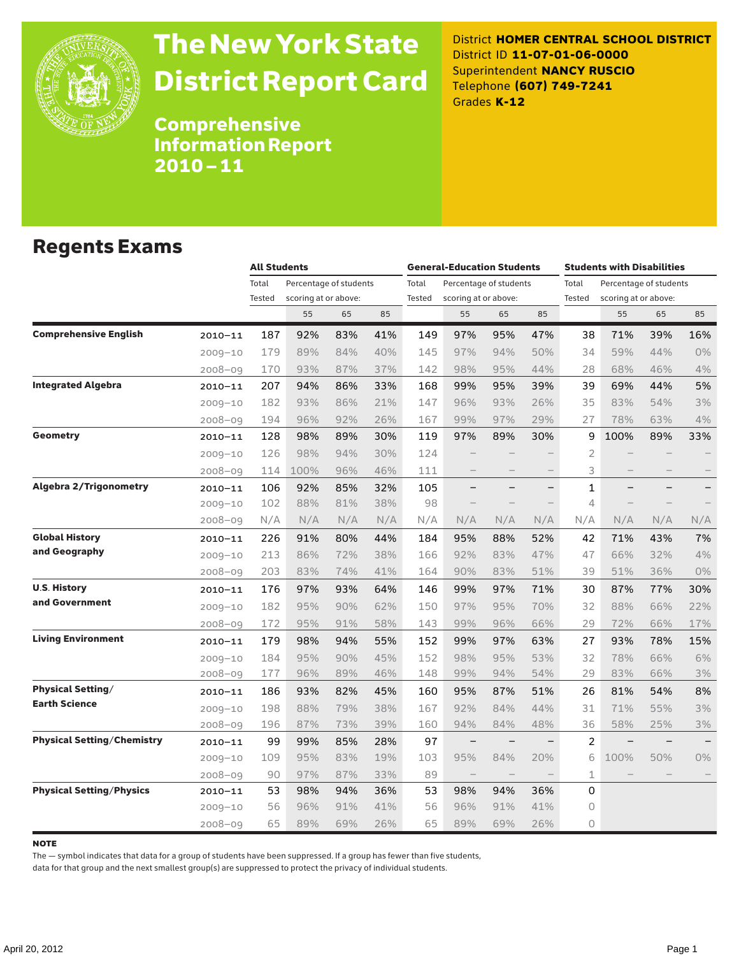

# The New York State District Report Card

District **HOMER CENTRAL SCHOOL DISTRICT** District ID **11-07-01-06-0000** Superintendent **NANCY RUSCIO** Telephone **(607) 749-7241** Grades **K-12**

Comprehensive Information Report 2010–11

#### Regents Exams

|                                   |             |                 | <b>All Students</b>                            |     |     |                 | <b>General-Education Students</b>              |                          |                          |                 | <b>Students with Disabilities</b>              |     |                          |  |
|-----------------------------------|-------------|-----------------|------------------------------------------------|-----|-----|-----------------|------------------------------------------------|--------------------------|--------------------------|-----------------|------------------------------------------------|-----|--------------------------|--|
|                                   |             | Total<br>Tested | Percentage of students<br>scoring at or above: |     |     | Total<br>Tested | Percentage of students<br>scoring at or above: |                          |                          | Total<br>Tested | Percentage of students<br>scoring at or above: |     |                          |  |
|                                   |             |                 | 55                                             | 65  | 85  |                 | 55                                             | 65                       | 85                       |                 | 55                                             | 65  | 85                       |  |
| <b>Comprehensive English</b>      | $2010 - 11$ | 187             | 92%                                            | 83% | 41% | 149             | 97%                                            | 95%                      | 47%                      | 38              | 71%                                            | 39% | 16%                      |  |
|                                   | $2009 - 10$ | 179             | 89%                                            | 84% | 40% | 145             | 97%                                            | 94%                      | 50%                      | 34              | 59%                                            | 44% | 0%                       |  |
|                                   | $2008 - 09$ | 170             | 93%                                            | 87% | 37% | 142             | 98%                                            | 95%                      | 44%                      | 28              | 68%                                            | 46% | 4%                       |  |
| <b>Integrated Algebra</b>         | $2010 - 11$ | 207             | 94%                                            | 86% | 33% | 168             | 99%                                            | 95%                      | 39%                      | 39              | 69%                                            | 44% | 5%                       |  |
|                                   | $2009 - 10$ | 182             | 93%                                            | 86% | 21% | 147             | 96%                                            | 93%                      | 26%                      | 35              | 83%                                            | 54% | 3%                       |  |
|                                   | $2008 - 09$ | 194             | 96%                                            | 92% | 26% | 167             | 99%                                            | 97%                      | 29%                      | 27              | 78%                                            | 63% | 4%                       |  |
| <b>Geometry</b>                   | 2010-11     | 128             | 98%                                            | 89% | 30% | 119             | 97%                                            | 89%                      | 30%                      | 9               | 100%                                           | 89% | 33%                      |  |
|                                   | $2009 - 10$ | 126             | 98%                                            | 94% | 30% | 124             |                                                |                          |                          | 2               |                                                |     |                          |  |
|                                   | $2008 - 09$ | 114             | 100%                                           | 96% | 46% | 111             | $\qquad \qquad -$                              |                          | $\overline{\phantom{0}}$ | 3               |                                                |     | $\qquad \qquad -$        |  |
| <b>Algebra 2/Trigonometry</b>     | $2010 - 11$ | 106             | 92%                                            | 85% | 32% | 105             |                                                |                          |                          | 1               |                                                |     | $\overline{\phantom{0}}$ |  |
|                                   | $2009 - 10$ | 102             | 88%                                            | 81% | 38% | 98              |                                                |                          | $\overline{\phantom{0}}$ | 4               |                                                |     |                          |  |
|                                   | $2008 - 09$ | N/A             | N/A                                            | N/A | N/A | N/A             | N/A                                            | N/A                      | N/A                      | N/A             | N/A                                            | N/A | N/A                      |  |
| <b>Global History</b>             | $2010 - 11$ | 226             | 91%                                            | 80% | 44% | 184             | 95%                                            | 88%                      | 52%                      | 42              | 71%                                            | 43% | 7%                       |  |
| and Geography                     | $2009 - 10$ | 213             | 86%                                            | 72% | 38% | 166             | 92%                                            | 83%                      | 47%                      | 47              | 66%                                            | 32% | 4%                       |  |
|                                   | $2008 - 09$ | 203             | 83%                                            | 74% | 41% | 164             | 90%                                            | 83%                      | 51%                      | 39              | 51%                                            | 36% | 0%                       |  |
| <b>U.S. History</b>               | 2010-11     | 176             | 97%                                            | 93% | 64% | 146             | 99%                                            | 97%                      | 71%                      | 30              | 87%                                            | 77% | 30%                      |  |
| and Government                    | $2009 - 10$ | 182             | 95%                                            | 90% | 62% | 150             | 97%                                            | 95%                      | 70%                      | 32              | 88%                                            | 66% | 22%                      |  |
|                                   | $2008 - 09$ | 172             | 95%                                            | 91% | 58% | 143             | 99%                                            | 96%                      | 66%                      | 29              | 72%                                            | 66% | 17%                      |  |
| <b>Living Environment</b>         | 2010-11     | 179             | 98%                                            | 94% | 55% | 152             | 99%                                            | 97%                      | 63%                      | 27              | 93%                                            | 78% | 15%                      |  |
|                                   | $2009 - 10$ | 184             | 95%                                            | 90% | 45% | 152             | 98%                                            | 95%                      | 53%                      | 32              | 78%                                            | 66% | 6%                       |  |
|                                   | $2008 - 09$ | 177             | 96%                                            | 89% | 46% | 148             | 99%                                            | 94%                      | 54%                      | 29              | 83%                                            | 66% | 3%                       |  |
| <b>Physical Setting/</b>          | $2010 - 11$ | 186             | 93%                                            | 82% | 45% | 160             | 95%                                            | 87%                      | 51%                      | 26              | 81%                                            | 54% | 8%                       |  |
| <b>Earth Science</b>              | $2009 - 10$ | 198             | 88%                                            | 79% | 38% | 167             | 92%                                            | 84%                      | 44%                      | 31              | 71%                                            | 55% | 3%                       |  |
|                                   | $2008 - 09$ | 196             | 87%                                            | 73% | 39% | 160             | 94%                                            | 84%                      | 48%                      | 36              | 58%                                            | 25% | 3%                       |  |
| <b>Physical Setting/Chemistry</b> | $2010 - 11$ | 99              | 99%                                            | 85% | 28% | 97              | -                                              | $\overline{\phantom{0}}$ |                          | 2               |                                                |     | —                        |  |
|                                   | $2009 - 10$ | 109             | 95%                                            | 83% | 19% | 103             | 95%                                            | 84%                      | 20%                      | 6               | 100%                                           | 50% | 0%                       |  |
|                                   | $2008 - 09$ | 90              | 97%                                            | 87% | 33% | 89              |                                                |                          |                          | 1               |                                                |     |                          |  |
| <b>Physical Setting/Physics</b>   | 2010-11     | 53              | 98%                                            | 94% | 36% | 53              | 98%                                            | 94%                      | 36%                      | 0               |                                                |     |                          |  |
|                                   | $2009 - 10$ | 56              | 96%                                            | 91% | 41% | 56              | 96%                                            | 91%                      | 41%                      | 0               |                                                |     |                          |  |
|                                   | $2008 - 09$ | 65              | 89%                                            | 69% | 26% | 65              | 89%                                            | 69%                      | 26%                      | 0               |                                                |     |                          |  |

#### **NOTE**

The — symbol indicates that data for a group of students have been suppressed. If a group has fewer than five students,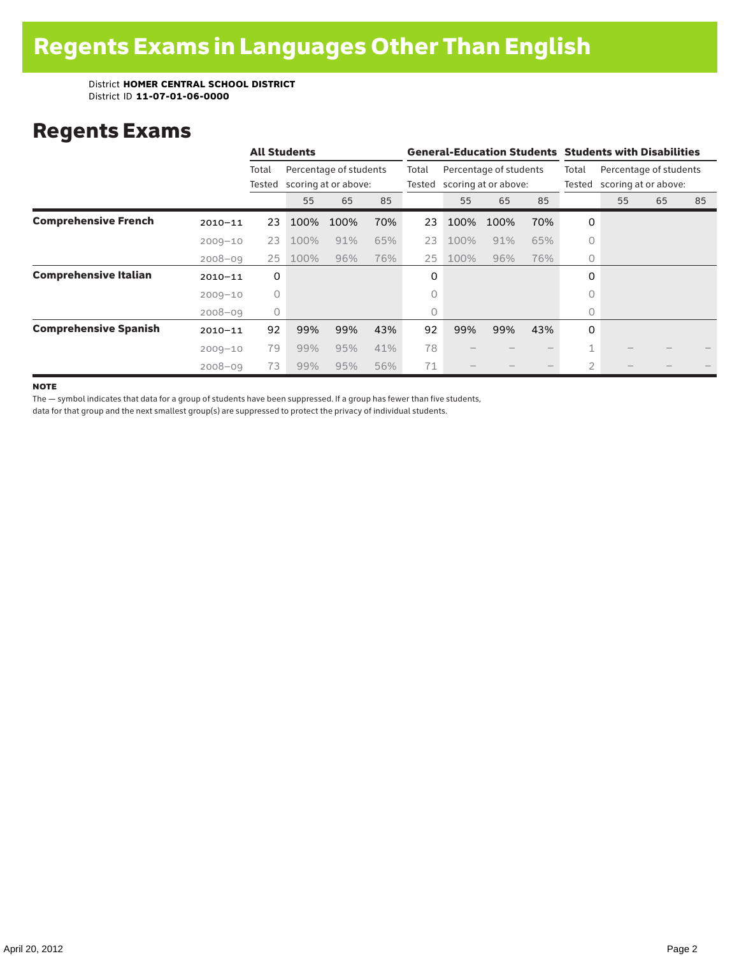### Regents Exams

|                              |             |                 | <b>All Students</b>                            |      |     |                 | <b>General-Education Students Students with Disabilities</b> |      |     |                 |                                                |    |    |  |
|------------------------------|-------------|-----------------|------------------------------------------------|------|-----|-----------------|--------------------------------------------------------------|------|-----|-----------------|------------------------------------------------|----|----|--|
|                              |             | Total<br>Tested | Percentage of students<br>scoring at or above: |      |     | Total<br>Tested | Percentage of students<br>scoring at or above:               |      |     | Total<br>Tested | Percentage of students<br>scoring at or above: |    |    |  |
|                              |             |                 | 55                                             | 65   | 85  |                 | 55                                                           | 65   | 85  |                 | 55                                             | 65 | 85 |  |
| <b>Comprehensive French</b>  | $2010 - 11$ | 23              | 100%                                           | 100% | 70% | 23              | 100%                                                         | 100% | 70% | 0               |                                                |    |    |  |
|                              | $2009 - 10$ | 23              | 100%                                           | 91%  | 65% | 23              | 100%                                                         | 91%  | 65% | $\circ$         |                                                |    |    |  |
|                              | $2008 - 09$ | 25              | 100%                                           | 96%  | 76% | 25              | 100%                                                         | 96%  | 76% | $\circ$         |                                                |    |    |  |
| <b>Comprehensive Italian</b> | $2010 - 11$ | 0               |                                                |      |     | 0               |                                                              |      |     | 0               |                                                |    |    |  |
|                              | $2009 - 10$ | $\circ$         |                                                |      |     | 0               |                                                              |      |     | 0               |                                                |    |    |  |
|                              | $2008 - 09$ | $\circ$         |                                                |      |     | 0               |                                                              |      |     | $\circ$         |                                                |    |    |  |
| <b>Comprehensive Spanish</b> | $2010 - 11$ | 92              | 99%                                            | 99%  | 43% | 92              | 99%                                                          | 99%  | 43% | 0               |                                                |    |    |  |
|                              | $2009 - 10$ | 79              | 99%                                            | 95%  | 41% | 78              |                                                              |      |     | 4               |                                                |    |    |  |
|                              | $2008 - 09$ | 73              | 99%                                            | 95%  | 56% | 71              |                                                              |      |     | $\overline{2}$  |                                                |    |    |  |

**NOTE** 

The — symbol indicates that data for a group of students have been suppressed. If a group has fewer than five students,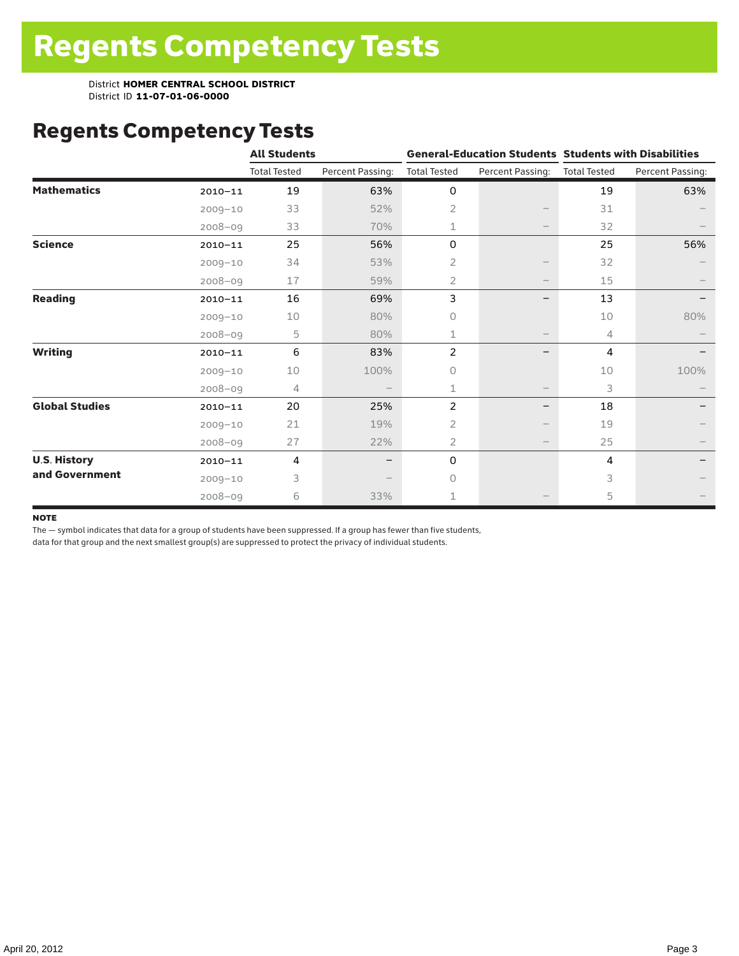## Regents Competency Tests

|                       |             | <b>All Students</b> |                  |                     |                                 | <b>General-Education Students Students with Disabilities</b> |                  |  |
|-----------------------|-------------|---------------------|------------------|---------------------|---------------------------------|--------------------------------------------------------------|------------------|--|
|                       |             | <b>Total Tested</b> | Percent Passing: | <b>Total Tested</b> | Percent Passing:                | <b>Total Tested</b>                                          | Percent Passing: |  |
| <b>Mathematics</b>    | $2010 - 11$ | 19                  | 63%              | 0                   |                                 | 19                                                           | 63%              |  |
|                       | $2009 - 10$ | 33                  | 52%              | $\overline{2}$      |                                 | 31                                                           |                  |  |
|                       | $2008 - 09$ | 33                  | 70%              | 1                   | $\qquad \qquad -$               | 32                                                           |                  |  |
| <b>Science</b>        | $2010 - 11$ | 25                  | 56%              | 0                   |                                 | 25                                                           | 56%              |  |
|                       | $2009 - 10$ | 34                  | 53%              | 2                   |                                 | 32                                                           |                  |  |
|                       | $2008 - 09$ | 17                  | 59%              | 2                   | $\qquad \qquad -$               | 15                                                           |                  |  |
| <b>Reading</b>        | $2010 - 11$ | 16                  | 69%              | 3                   | —                               | 13                                                           |                  |  |
|                       | $2009 - 10$ | 10                  | 80%              | $\bigcap$           |                                 | 10                                                           | 80%              |  |
|                       | $2008 - 09$ | 5                   | 80%              | $\mathbf{1}$        |                                 | 4                                                            |                  |  |
| <b>Writing</b>        | $2010 - 11$ | 6                   | 83%              | 2                   | -                               | 4                                                            |                  |  |
|                       | $2009 - 10$ | 10                  | 100%             | 0                   |                                 | 10                                                           | 100%             |  |
|                       | $2008 - 09$ | 4                   |                  | $\mathbf{1}$        | $\qquad \qquad -$               | 3                                                            |                  |  |
| <b>Global Studies</b> | $2010 - 11$ | 20                  | 25%              | $\overline{c}$      |                                 | 18                                                           |                  |  |
|                       | $2009 - 10$ | 21                  | 19%              | 2                   | $\qquad \qquad -$               | 19                                                           |                  |  |
|                       | $2008 - 09$ | 27                  | 22%              | 2                   | $\hspace{0.1mm}-\hspace{0.1mm}$ | 25                                                           |                  |  |
| <b>U.S. History</b>   | $2010 - 11$ | 4                   |                  | 0                   |                                 | 4                                                            |                  |  |
| and Government        | $2009 - 10$ | 3                   |                  | $\bigcap$           |                                 | 3                                                            |                  |  |
|                       | $2008 - 09$ | 6                   | 33%              | $\mathbf{1}$        |                                 | 5                                                            |                  |  |

#### **NOTE**

The — symbol indicates that data for a group of students have been suppressed. If a group has fewer than five students,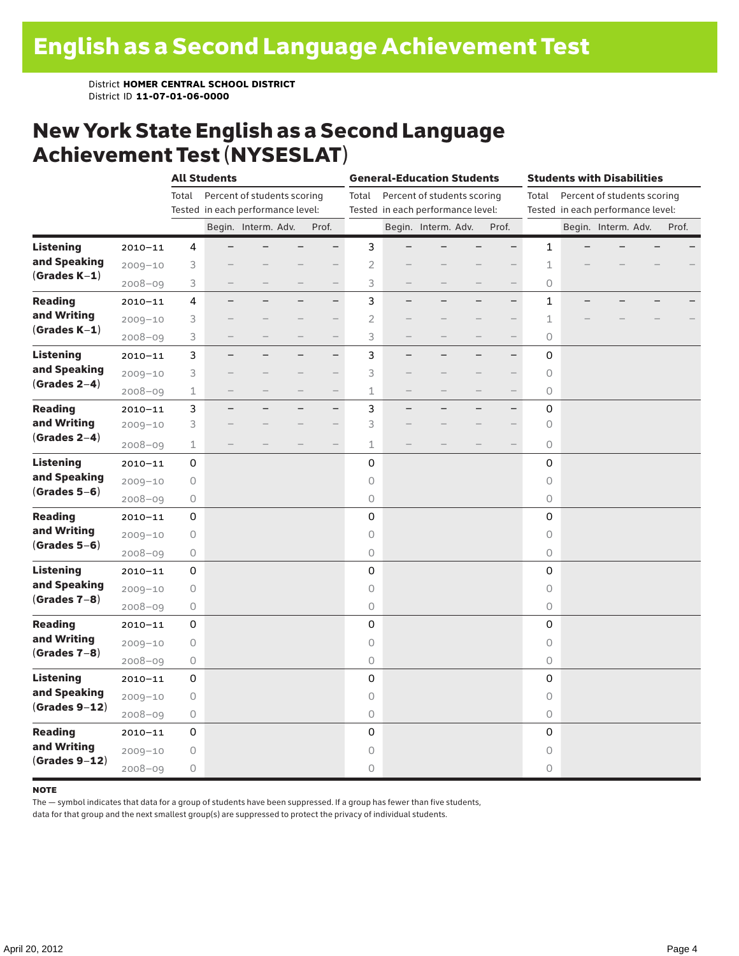### New York State English as a Second Language Achievement Test (NYSESLAT)

|                                  |             |             | <b>All Students</b>               |                             |                          |                          | <b>General-Education Students</b> |                                   |                          |                             | <b>Students with Disabilities</b> |                                   |  |                             |  |       |
|----------------------------------|-------------|-------------|-----------------------------------|-----------------------------|--------------------------|--------------------------|-----------------------------------|-----------------------------------|--------------------------|-----------------------------|-----------------------------------|-----------------------------------|--|-----------------------------|--|-------|
|                                  |             | Total       |                                   | Percent of students scoring |                          |                          | Total                             |                                   |                          | Percent of students scoring |                                   | Total                             |  | Percent of students scoring |  |       |
|                                  |             |             | Tested in each performance level: |                             |                          |                          |                                   | Tested in each performance level: |                          |                             |                                   | Tested in each performance level: |  |                             |  |       |
|                                  |             |             |                                   | Begin. Interm. Adv.         |                          | Prof.                    |                                   |                                   | Begin. Interm. Adv.      |                             | Prof.                             |                                   |  | Begin. Interm. Adv.         |  | Prof. |
| <b>Listening</b>                 | $2010 - 11$ | 4           |                                   |                             |                          | $\overline{\phantom{0}}$ | $\mathsf{3}$                      |                                   |                          |                             | $\overline{\phantom{0}}$          | $\mathbf{1}$                      |  |                             |  |       |
| and Speaking                     | $2009 - 10$ | 3           |                                   |                             |                          |                          | $\overline{2}$                    |                                   |                          |                             | $\overline{\phantom{0}}$          | 1                                 |  |                             |  |       |
| $(Grades K-1)$                   | $2008 - 09$ | 3           |                                   |                             |                          |                          | 3                                 |                                   |                          | $\overline{\phantom{0}}$    |                                   | 0                                 |  |                             |  |       |
| <b>Reading</b>                   | $2010 - 11$ | 4           |                                   |                             | -                        | $-$                      | 3                                 | $\overline{\phantom{0}}$          |                          | -                           | $\overline{\phantom{0}}$          | 1                                 |  |                             |  |       |
| and Writing                      | $2009 - 10$ | 3           |                                   |                             |                          | $-$                      | $\overline{2}$                    |                                   |                          |                             | $\overline{\phantom{0}}$          | $\mathbf 1$                       |  |                             |  |       |
| $(Grades K-1)$                   | $2008 - 09$ | 3           |                                   |                             |                          |                          | 3                                 |                                   |                          |                             | $\overline{\phantom{0}}$          | 0                                 |  |                             |  |       |
| <b>Listening</b>                 | $2010 - 11$ | 3           | —                                 | -                           | $\overline{\phantom{0}}$ | $-$                      | 3                                 | $\qquad \qquad -$                 | $\overline{\phantom{0}}$ | -                           | $\overline{\phantom{0}}$          | $\mathsf 0$                       |  |                             |  |       |
| and Speaking                     | $2009 - 10$ | 3           |                                   |                             |                          | $\overline{\phantom{0}}$ | 3                                 |                                   |                          |                             | $\overline{\phantom{0}}$          | $\circ$                           |  |                             |  |       |
| $(Grades 2-4)$                   | $2008 - 09$ | $\mathbf 1$ | $\overline{\phantom{0}}$          |                             | $\overline{\phantom{0}}$ | $\overline{\phantom{0}}$ | $\mathbf 1$                       |                                   |                          |                             | $\qquad \qquad -$                 | $\bigcirc$                        |  |                             |  |       |
| <b>Reading</b>                   | $2010 - 11$ | 3           | $\overline{\phantom{0}}$          |                             | $\overline{\phantom{0}}$ | $-$                      | 3                                 | $\equiv$                          | ▃                        | ▃                           | $\overline{\phantom{0}}$          | $\mathsf 0$                       |  |                             |  |       |
| and Writing                      | $2009 - 10$ | 3           |                                   |                             |                          | -                        | 3                                 |                                   |                          |                             |                                   | $\circ$                           |  |                             |  |       |
| $(Grades 2-4)$                   | 2008-09     | 1           |                                   |                             |                          | $\overline{\phantom{0}}$ | $\mathbf{1}$                      |                                   |                          |                             |                                   | 0                                 |  |                             |  |       |
| <b>Listening</b><br>and Speaking | $2010 - 11$ | 0           |                                   |                             |                          |                          | 0                                 |                                   |                          |                             |                                   | 0                                 |  |                             |  |       |
|                                  | $2009 - 10$ | 0           |                                   |                             |                          |                          | $\circ$                           |                                   |                          |                             |                                   | $\circ$                           |  |                             |  |       |
| $(Grades 5-6)$                   | $2008 - 09$ | $\bigcirc$  |                                   |                             |                          |                          | 0                                 |                                   |                          |                             |                                   | 0                                 |  |                             |  |       |
| <b>Reading</b>                   | $2010 - 11$ | 0           |                                   |                             |                          |                          | 0                                 |                                   |                          |                             |                                   | $\mathsf 0$                       |  |                             |  |       |
| and Writing                      | $2009 - 10$ | 0           |                                   |                             |                          |                          | $\circ$                           |                                   |                          |                             |                                   | $\circ$                           |  |                             |  |       |
| $(Grades 5-6)$                   | $2008 - 09$ | 0           |                                   |                             |                          |                          | $\circ$                           |                                   |                          |                             |                                   | 0                                 |  |                             |  |       |
| <b>Listening</b>                 | $2010 - 11$ | 0           |                                   |                             |                          |                          | $\mathbf 0$                       |                                   |                          |                             |                                   | $\mathbf 0$                       |  |                             |  |       |
| and Speaking                     | $2009 - 10$ | $\bigcirc$  |                                   |                             |                          |                          | $\circ$                           |                                   |                          |                             |                                   | $\Omega$                          |  |                             |  |       |
| $(Grades 7-8)$                   | $2008 - 09$ | $\bigcirc$  |                                   |                             |                          |                          | $\bigcirc$                        |                                   |                          |                             |                                   | 0                                 |  |                             |  |       |
| <b>Reading</b>                   | $2010 - 11$ | 0           |                                   |                             |                          |                          | 0                                 |                                   |                          |                             |                                   | 0                                 |  |                             |  |       |
| and Writing                      | $2009 - 10$ | $\bigcirc$  |                                   |                             |                          |                          | $\circ$                           |                                   |                          |                             |                                   | $\circ$                           |  |                             |  |       |
| $(Grades 7-8)$                   | $2008 - 09$ | $\bigcirc$  |                                   |                             |                          |                          | 0                                 |                                   |                          |                             |                                   | 0                                 |  |                             |  |       |
| <b>Listening</b>                 | $2010 - 11$ | 0           |                                   |                             |                          |                          | 0                                 |                                   |                          |                             |                                   | $\mathbf 0$                       |  |                             |  |       |
| and Speaking                     | $2009 - 10$ | 0           |                                   |                             |                          |                          | $\circ$                           |                                   |                          |                             |                                   | $\circ$                           |  |                             |  |       |
| $(Grades 9-12)$                  | $2008 - 09$ | $\bigcirc$  |                                   |                             |                          |                          | $\bigcirc$                        |                                   |                          |                             |                                   | 0                                 |  |                             |  |       |
| <b>Reading</b>                   | $2010 - 11$ | 0           |                                   |                             |                          |                          | 0                                 |                                   |                          |                             |                                   | 0                                 |  |                             |  |       |
| and Writing                      | $2009 - 10$ | 0           |                                   |                             |                          |                          | $\circ$                           |                                   |                          |                             |                                   | $\circ$                           |  |                             |  |       |
| $(Grades 9-12)$                  | $2008 - 09$ | $\bigcirc$  |                                   |                             |                          |                          | 0                                 |                                   |                          |                             |                                   | 0                                 |  |                             |  |       |

#### note

The — symbol indicates that data for a group of students have been suppressed. If a group has fewer than five students,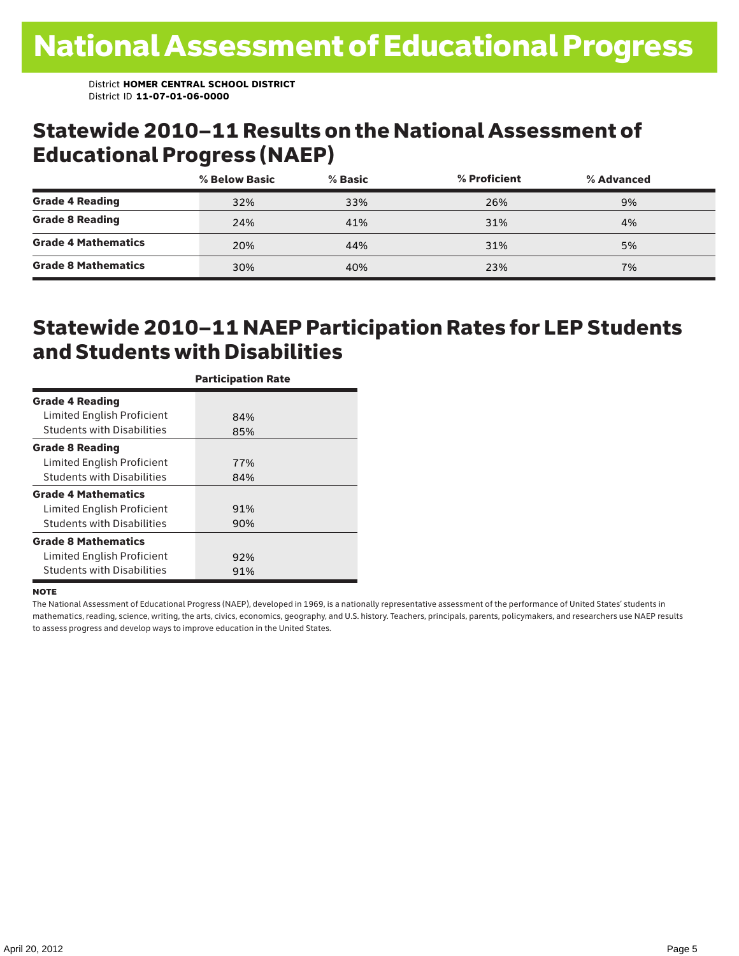#### Statewide 2010–11 Results on the National Assessment of Educational Progress (NAEP)

|                            | % Below Basic | $%$ Basic | % Proficient | % Advanced |  |
|----------------------------|---------------|-----------|--------------|------------|--|
| <b>Grade 4 Reading</b>     | 32%           | 33%       | 26%          | 9%         |  |
| <b>Grade 8 Reading</b>     | 24%           | 41%       | 31%          | 4%         |  |
| <b>Grade 4 Mathematics</b> | 20%           | 44%       | 31%          | 5%         |  |
| <b>Grade 8 Mathematics</b> | 30%           | 40%       | 23%          | 7%         |  |

### Statewide 2010–11 NAEP Participation Rates for LEP Students and Students with Disabilities

|                                   | <b>Participation Rate</b> |
|-----------------------------------|---------------------------|
| <b>Grade 4 Reading</b>            |                           |
| Limited English Proficient        | 84%                       |
| <b>Students with Disabilities</b> | 85%                       |
| <b>Grade 8 Reading</b>            |                           |
| Limited English Proficient        | 77%                       |
| <b>Students with Disabilities</b> | 84%                       |
| <b>Grade 4 Mathematics</b>        |                           |
| Limited English Proficient        | 91%                       |
| <b>Students with Disabilities</b> | 90%                       |
| <b>Grade 8 Mathematics</b>        |                           |
| Limited English Proficient        | 92%                       |
| <b>Students with Disabilities</b> | 91%                       |

#### **NOTE**

The National Assessment of Educational Progress (NAEP), developed in 1969, is a nationally representative assessment of the performance of United States' students in mathematics, reading, science, writing, the arts, civics, economics, geography, and U.S. history. Teachers, principals, parents, policymakers, and researchers use NAEP results to assess progress and develop ways to improve education in the United States.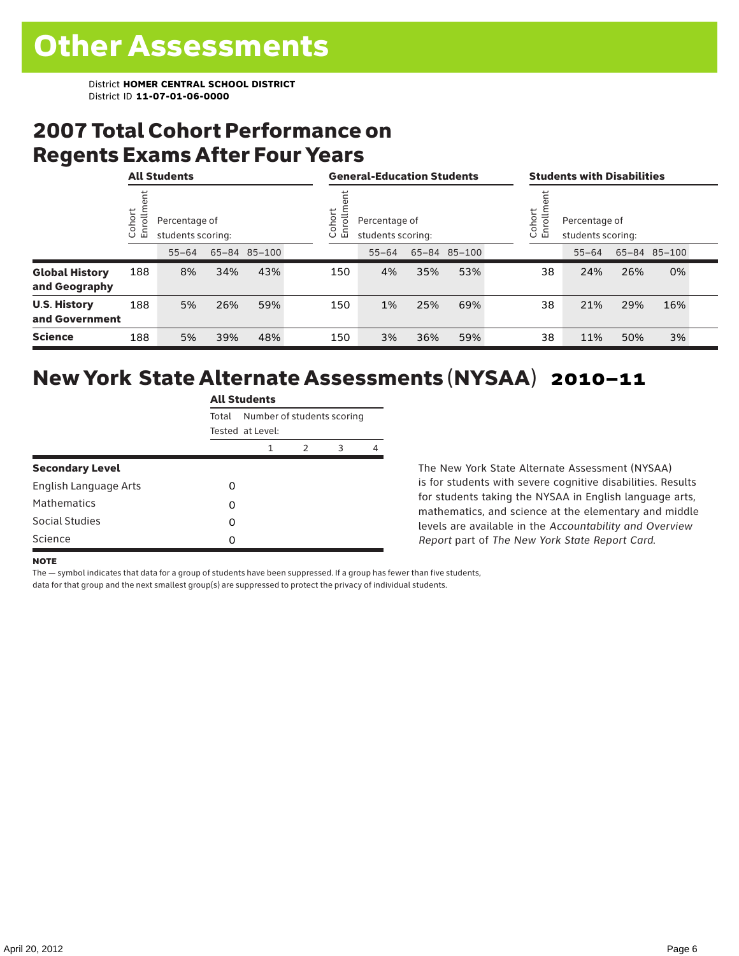### 2007 Total Cohort Performance on Regents Exams After Four Years

|                                        |                   | <b>All Students</b> |                                    |              |  | <b>General-Education Students</b>                                   |           |     |              | <b>Students with Disabilities</b>                              |           |     |              |  |
|----------------------------------------|-------------------|---------------------|------------------------------------|--------------|--|---------------------------------------------------------------------|-----------|-----|--------------|----------------------------------------------------------------|-----------|-----|--------------|--|
|                                        | ohort<br>ᅙ<br>ប ក |                     | Percentage of<br>students scoring: |              |  | ohort<br>rolln<br>Percentage of<br>문<br>students scoring:<br>$\cup$ |           |     |              | ohort<br>rollm<br>Percentage of<br>문<br>students scoring:<br>Ū |           |     |              |  |
|                                        |                   | $55 - 64$           |                                    | 65-84 85-100 |  |                                                                     | $55 - 64$ |     | 65-84 85-100 |                                                                | $55 - 64$ |     | 65-84 85-100 |  |
| <b>Global History</b><br>and Geography | 188               | 8%                  | 34%                                | 43%          |  | 150                                                                 | 4%        | 35% | 53%          | 38                                                             | 24%       | 26% | 0%           |  |
| <b>U.S. History</b><br>and Government  | 188               | 5%                  | 26%                                | 59%          |  | 150                                                                 | 1%        | 25% | 69%          | 38                                                             | 21%       | 29% | 16%          |  |
| <b>Science</b>                         | 188               | 5%                  | 39%                                | 48%          |  | 150                                                                 | 3%        | 36% | 59%          | 38                                                             | 11%       | 50% | 3%           |  |

### New York State Alternate Assessments (NYSAA) 2010–11

|                        | <b>All Students</b>                 |                  |   |   |  |  |  |  |  |
|------------------------|-------------------------------------|------------------|---|---|--|--|--|--|--|
|                        | Number of students scoring<br>Total |                  |   |   |  |  |  |  |  |
|                        |                                     | Tested at Level: |   |   |  |  |  |  |  |
|                        |                                     | 1                | 2 | 3 |  |  |  |  |  |
| <b>Secondary Level</b> |                                     |                  |   |   |  |  |  |  |  |
| English Language Arts  | Ω                                   |                  |   |   |  |  |  |  |  |
| Mathematics            | O                                   |                  |   |   |  |  |  |  |  |
| Social Studies         | 0                                   |                  |   |   |  |  |  |  |  |
| Science                | ი                                   |                  |   |   |  |  |  |  |  |

The New York State Alternate Assessment (NYSAA) is for students with severe cognitive disabilities. Results for students taking the NYSAA in English language arts, mathematics, and science at the elementary and middle levels are available in the *Accountability and Overview Report* part of *The New York State Report Card*.

#### **NOTE**

The — symbol indicates that data for a group of students have been suppressed. If a group has fewer than five students,